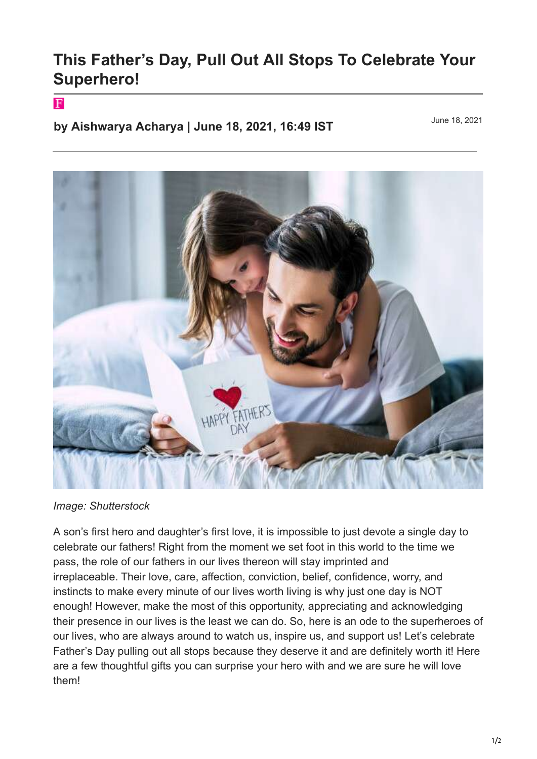## **This Father's Day, Pull Out All Stops To Celebrate Your Superhero!**

## $\mathbf F$

**by Aishwarya Acharya | June 18, 2021, 16:49 IST**

June 18, 2021



*Image: Shutterstock*

A son's first hero and daughter's first love, it is impossible to just devote a single day to celebrate our fathers! Right from the moment we set foot in this world to the time we pass, the role of our fathers in our lives thereon will stay imprinted and irreplaceable. Their love, care, affection, conviction, belief, confidence, worry, and instincts to make every minute of our lives worth living is why just one day is NOT enough! However, make the most of this opportunity, appreciating and acknowledging their presence in our lives is the least we can do. So, here is an ode to the superheroes of our lives, who are always around to watch us, inspire us, and support us! Let's celebrate Father's Day pulling out all stops because they deserve it and are definitely worth it! Here are a few thoughtful gifts you can surprise your hero with and we are sure he will love them!